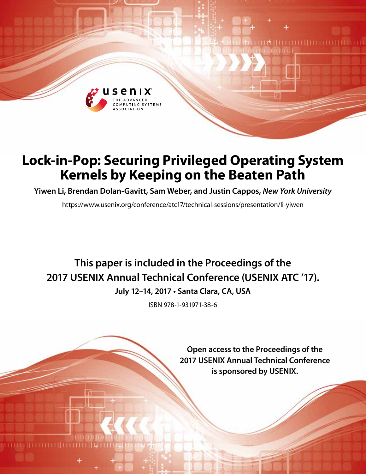

# **Lock-in-Pop: Securing Privileged Operating System Kernels by Keeping on the Beaten Path**

**Yiwen Li, Brendan Dolan-Gavitt, Sam Weber, and Justin Cappos,** *New York University*

https://www.usenix.org/conference/atc17/technical-sessions/presentation/li-yiwen

# **This paper is included in the Proceedings of the 2017 USENIX Annual Technical Conference (USENIX ATC '17).**

**July 12–14, 2017 • Santa Clara, CA, USA**

ISBN 978-1-931971-38-6

**Open access to the Proceedings of the 2017 USENIX Annual Technical Conference is sponsored by USENIX.**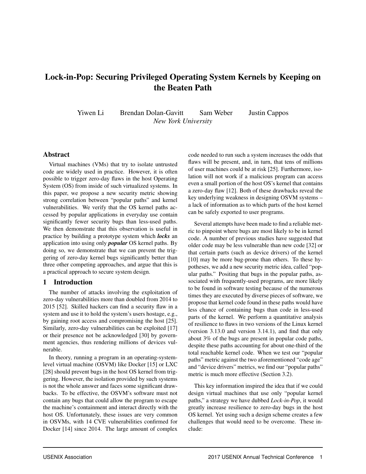# Lock-in-Pop: Securing Privileged Operating System Kernels by Keeping on the Beaten Path

Yiwen Li Brendan Dolan-Gavitt Sam Weber Justin Cappos *New York University*

## Abstract

Virtual machines (VMs) that try to isolate untrusted code are widely used in practice. However, it is often possible to trigger zero-day flaws in the host Operating System (OS) from inside of such virtualized systems. In this paper, we propose a new security metric showing strong correlation between "popular paths" and kernel vulnerabilities. We verify that the OS kernel paths accessed by popular applications in everyday use contain significantly fewer security bugs than less-used paths. We then demonstrate that this observation is useful in practice by building a prototype system which *locks* an application into using only *popular* OS kernel paths. By doing so, we demonstrate that we can prevent the triggering of zero-day kernel bugs significantly better than three other competing approaches, and argue that this is a practical approach to secure system design.

#### 1 Introduction

The number of attacks involving the exploitation of zero-day vulnerabilities more than doubled from 2014 to 2015 [52]. Skilled hackers can find a security flaw in a system and use it to hold the system's users hostage, e.g., by gaining root access and compromising the host [25]. Similarly, zero-day vulnerabilities can be exploited [17] or their presence not be acknowledged [30] by government agencies, thus rendering millions of devices vulnerable.

In theory, running a program in an operating-systemlevel virtual machine (OSVM) like Docker [15] or LXC [28] should prevent bugs in the host OS kernel from triggering. However, the isolation provided by such systems is not the whole answer and faces some significant drawbacks. To be effective, the OSVM's software must not contain any bugs that could allow the program to escape the machine's containment and interact directly with the host OS. Unfortunately, these issues are very common in OSVMs, with 14 CVE vulnerabilities confirmed for Docker [14] since 2014. The large amount of complex code needed to run such a system increases the odds that flaws will be present, and, in turn, that tens of millions of user machines could be at risk [25]. Furthermore, isolation will not work if a malicious program can access even a small portion of the host OS's kernel that contains a zero-day flaw [12]. Both of these drawbacks reveal the key underlying weakness in designing OSVM systems – a lack of information as to which parts of the host kernel can be safely exported to user programs.

Several attempts have been made to find a reliable metric to pinpoint where bugs are most likely to be in kernel code. A number of previous studies have suggested that older code may be less vulnerable than new code [32] or that certain parts (such as device drivers) of the kernel [10] may be more bug-prone than others. To these hypotheses, we add a new security metric idea, called "popular paths." Positing that bugs in the popular paths, associated with frequently-used programs, are more likely to be found in software testing because of the numerous times they are executed by diverse pieces of software, we propose that kernel code found in these paths would have less chance of containing bugs than code in less-used parts of the kernel. We perform a quantitative analysis of resilience to flaws in two versions of the Linux kernel (version 3.13.0 and version 3.14.1), and find that only about 3% of the bugs are present in popular code paths, despite these paths accounting for about one-third of the total reachable kernel code. When we test our "popular paths" metric against the two aforementioned "code age" and "device drivers" metrics, we find our "popular paths" metric is much more effective (Section 3.2).

This key information inspired the idea that if we could design virtual machines that use only "popular kernel paths," a strategy we have dubbed *Lock-in-Pop*, it would greatly increase resilience to zero-day bugs in the host OS kernel. Yet using such a design scheme creates a few challenges that would need to be overcome. These include: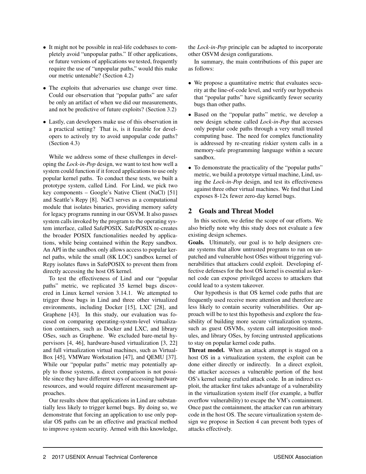- It might not be possible in real-life codebases to completely avoid "unpopular paths." If other applications, or future versions of applications we tested, frequently require the use of "unpopular paths," would this make our metric untenable? (Section 4.2)
- The exploits that adversaries use change over time. Could our observation that "popular paths" are safer be only an artifact of when we did our measurements, and not be predictive of future exploits? (Section 3.2)
- Lastly, can developers make use of this observation in a practical setting? That is, is it feasible for developers to actively try to avoid unpopular code paths? (Section 4.3)

While we address some of these challenges in developing the *Lock-in-Pop* design, we want to test how well a system could function if it forced applications to use only popular kernel paths. To conduct these tests, we built a prototype system, called Lind. For Lind, we pick two key components – Google's Native Client (NaCl) [51] and Seattle's Repy [8]. NaCl serves as a computational module that isolates binaries, providing memory safety for legacy programs running in our OSVM. It also passes system calls invoked by the program to the operating system interface, called SafePOSIX. SafePOSIX re-creates the broader POSIX functionalities needed by applications, while being contained within the Repy sandbox. An API in the sandbox only allows access to popular kernel paths, while the small (8K LOC) sandbox kernel of Repy isolates flaws in SafePOSIX to prevent them from directly accessing the host OS kernel.

To test the effectiveness of Lind and our "popular paths" metric, we replicated 35 kernel bugs discovered in Linux kernel version 3.14.1. We attempted to trigger those bugs in Lind and three other virtualized environments, including Docker [15], LXC [28], and Graphene [43]. In this study, our evaluation was focused on comparing operating-system-level virtualization containers, such as Docker and LXC, and library OSes, such as Graphene. We excluded bare-metal hypervisors [4, 46], hardware-based virtualization [3, 22] and full virtualization virtual machines, such as Virtual-Box [45], VMWare Workstation [47], and QEMU [37]. While our "popular paths" metric may potentially apply to those systems, a direct comparison is not possible since they have different ways of accessing hardware resources, and would require different measurement approaches.

Our results show that applications in Lind are substantially less likely to trigger kernel bugs. By doing so, we demonstrate that forcing an application to use only popular OS paths can be an effective and practical method to improve system security. Armed with this knowledge, the *Lock-in-Pop* principle can be adapted to incorporate other OSVM design configurations.

In summary, the main contributions of this paper are as follows:

- We propose a quantitative metric that evaluates security at the line-of-code level, and verify our hypothesis that "popular paths" have significantly fewer security bugs than other paths.
- Based on the "popular paths" metric, we develop a new design scheme called *Lock-in-Pop* that accesses only popular code paths through a very small trusted computing base. The need for complex functionality is addressed by re-creating riskier system calls in a memory-safe programming language within a secure sandbox.
- To demonstrate the practicality of the "popular paths" metric, we build a prototype virtual machine, Lind, using the *Lock-in-Pop* design, and test its effectiveness against three other virtual machines. We find that Lind exposes 8-12x fewer zero-day kernel bugs.

# 2 Goals and Threat Model

In this section, we define the scope of our efforts. We also briefly note why this study does not evaluate a few existing design schemes.

Goals. Ultimately, our goal is to help designers create systems that allow untrusted programs to run on unpatched and vulnerable host OSes without triggering vulnerabilities that attackers could exploit. Developing effective defenses for the host OS kernel is essential as kernel code can expose privileged access to attackers that could lead to a system takeover.

Our hypothesis is that OS kernel code paths that are frequently used receive more attention and therefore are less likely to contain security vulnerabilities. Our approach will be to test this hypothesis and explore the feasibility of building more secure virtualization systems, such as guest OSVMs, system call interposition modules, and library OSes, by forcing untrusted applications to stay on popular kernel code paths.

Threat model. When an attack attempt is staged on a host OS in a virtualization system, the exploit can be done either directly or indirectly. In a direct exploit, the attacker accesses a vulnerable portion of the host OS's kernel using crafted attack code. In an indirect exploit, the attacker first takes advantage of a vulnerability in the virtualization system itself (for example, a buffer overflow vulnerability) to escape the VM's containment. Once past the containment, the attacker can run arbitrary code in the host OS. The secure virtualization system design we propose in Section 4 can prevent both types of attacks effectively.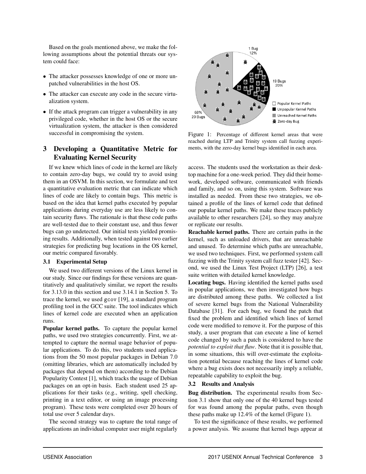Based on the goals mentioned above, we make the following assumptions about the potential threats our system could face:

- The attacker possesses knowledge of one or more unpatched vulnerabilities in the host OS.
- The attacker can execute any code in the secure virtualization system.
- If the attack program can trigger a vulnerability in any privileged code, whether in the host OS or the secure virtualization system, the attacker is then considered successful in compromising the system.

# 3 Developing a Quantitative Metric for Evaluating Kernel Security

If we knew which lines of code in the kernel are likely to contain zero-day bugs, we could try to avoid using them in an OSVM. In this section, we formulate and test a quantitative evaluation metric that can indicate which lines of code are likely to contain bugs. This metric is based on the idea that kernel paths executed by popular applications during everyday use are less likely to contain security flaws. The rationale is that these code paths are well-tested due to their constant use, and thus fewer bugs can go undetected. Our initial tests yielded promising results. Additionally, when tested against two earlier strategies for predicting bug locations in the OS kernel, our metric compared favorably.

#### 3.1 Experimental Setup

We used two different versions of the Linux kernel in our study. Since our findings for these versions are quantitatively and qualitatively similar, we report the results for 3.13.0 in this section and use 3.14.1 in Section 5. To trace the kernel, we used gcov [19], a standard program profiling tool in the GCC suite. The tool indicates which lines of kernel code are executed when an application runs.

Popular kernel paths. To capture the popular kernel paths, we used two strategies concurrently. First, we attempted to capture the normal usage behavior of popular applications. To do this, two students used applications from the 50 most popular packages in Debian 7.0 (omitting libraries, which are automatically included by packages that depend on them) according to the Debian Popularity Contest [1], which tracks the usage of Debian packages on an opt-in basis. Each student used 25 applications for their tasks (e.g., writing, spell checking, printing in a text editor, or using an image processing program). These tests were completed over 20 hours of total use over 5 calendar days.

The second strategy was to capture the total range of applications an individual computer user might regularly



Figure 1: Percentage of different kernel areas that were reached during LTP and Trinity system call fuzzing experiments, with the zero-day kernel bugs identified in each area.

access. The students used the workstation as their desktop machine for a one-week period. They did their homework, developed software, communicated with friends and family, and so on, using this system. Software was installed as needed. From these two strategies, we obtained a profile of the lines of kernel code that defined our popular kernel paths. We make these traces publicly available to other researchers [24], so they may analyze or replicate our results.

Reachable kernel paths. There are certain paths in the kernel, such as unloaded drivers, that are unreachable and unused. To determine which paths are unreachable, we used two techniques. First, we performed system call fuzzing with the Trinity system call fuzz tester [42]. Second, we used the Linux Test Project (LTP) [26], a test suite written with detailed kernel knowledge.

Locating bugs. Having identified the kernel paths used in popular applications, we then investigated how bugs are distributed among these paths. We collected a list of severe kernel bugs from the National Vulnerability Database [31]. For each bug, we found the patch that fixed the problem and identified which lines of kernel code were modified to remove it. For the purpose of this study, a user program that can execute a line of kernel code changed by such a patch is considered to have the *potential to exploit that flaw*. Note that it is possible that, in some situations, this will over-estimate the exploitation potential because reaching the lines of kernel code where a bug exists does not necessarily imply a reliable, repeatable capability to exploit the bug.

#### 3.2 Results and Analysis

Bug distribution. The experimental results from Section 3.1 show that only one of the 40 kernel bugs tested for was found among the popular paths, even though these paths make up 12.4% of the kernel (Figure 1).

To test the significance of these results, we performed a power analysis. We assume that kernel bugs appear at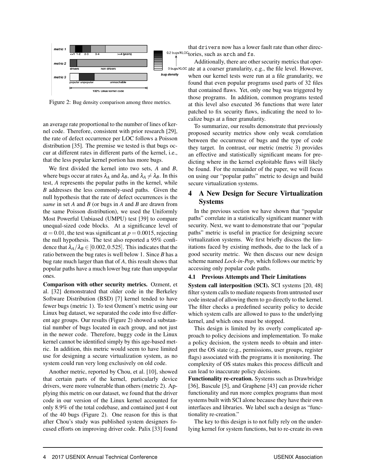

Figure 2: Bug density comparison among three metrics.

an average rate proportional to the number of lines of kernel code. Therefore, consistent with prior research [29], the rate of defect occurrence per LOC follows a Poisson distribution [35]. The premise we tested is that bugs occur at different rates in different parts of the kernel, i.e., that the less popular kernel portion has more bugs.

We first divided the kernel into two sets, *A* and *B*, where bugs occur at rates  $\lambda_A$  and  $\lambda_B$ , and  $\lambda_A \neq \lambda_B$ . In this test, *A* represents the popular paths in the kernel, while *B* addresses the less commonly-used paths. Given the null hypothesis that the rate of defect occurrences is the *same* in set *A* and *B* (or bugs in *A* and *B* are drawn from the same Poisson distribution), we used the Uniformly Most Powerful Unbiased (UMPU) test [39] to compare unequal-sized code blocks. At a significance level of  $\alpha$  = 0.01, the test was significant at  $p$  = 0.0015, rejecting the null hypothesis. The test also reported a 95% confidence that  $\lambda_A/\lambda_B \in [0.002, 0.525]$ . This indicates that the ratio between the bug rates is well below 1. Since *B* has a bug rate much larger than that of *A*, this result shows that popular paths have a much lower bug rate than unpopular ones.

Comparison with other security metrics. Ozment, et al. [32] demonstrated that older code in the Berkeley Software Distribution (BSD) [7] kernel tended to have fewer bugs (metric 1). To test Ozment's metric using our Linux bug dataset, we separated the code into five different age groups. Our results (Figure 2) showed a substantial number of bugs located in each group, and not just in the newer code. Therefore, buggy code in the Linux kernel cannot be identified simply by this age-based metric. In addition, this metric would seem to have limited use for designing a secure virtualization system, as no system could run very long exclusively on old code.

Another metric, reported by Chou, et al. [10], showed that certain parts of the kernel, particularly device drivers, were more vulnerable than others (metric 2). Applying this metric on our dataset, we found that the driver code in our version of the Linux kernel accounted for only 8.9% of the total codebase, and contained just 4 out of the 40 bugs (Figure 2). One reason for this is that after Chou's study was published system designers focused efforts on improving driver code. Palix [33] found

that drivers now has a lower fault rate than other direc-0.2 bugs/KLOC tories, such as arch and fs.

Additionally, there are other security metrics that oper-0 bugs/KLOC ate at a coarser granularity, e.g., the file level. However, when our kernel tests were run at a file granularity, we found that even popular programs used parts of 32 files that contained flaws. Yet, only one bug was triggered by those programs. In addition, common programs tested at this level also executed 36 functions that were later patched to fix security flaws, indicating the need to localize bugs at a finer granularity.

To summarize, our results demonstrate that previously proposed security metrics show only weak correlation between the occurrence of bugs and the type of code they target. In contrast, our metric (metric 3) provides an effective and statistically significant means for predicting where in the kernel exploitable flaws will likely be found. For the remainder of the paper, we will focus on using our "popular paths" metric to design and build secure virtualization systems.

# 4 A New Design for Secure Virtualization Systems

In the previous section we have shown that "popular paths" correlate in a statistically significant manner with security. Next, we want to demonstrate that our "popular paths" metric is useful in practice for designing secure virtualization systems. We first briefly discuss the limitations faced by existing methods, due to the lack of a good security metric. We then discuss our new design scheme named *Lock-in-Pop*, which follows our metric by accessing only popular code paths.

#### 4.1 Previous Attempts and Their Limitations

System call interposition (SCI). SCI systems [20, 48] filter system calls to mediate requests from untrusted user code instead of allowing them to go directly to the kernel. The filter checks a predefined security policy to decide which system calls are allowed to pass to the underlying kernel, and which ones must be stopped.

This design is limited by its overly complicated approach to policy decisions and implementation. To make a policy decision, the system needs to obtain and interpret the OS state (e.g., permissions, user groups, register flags) associated with the programs it is monitoring. The complexity of OS states makes this process difficult and can lead to inaccurate policy decisions.

Functionality re-creation. Systems such as Drawbridge [36], Bascule [5], and Graphene [43] can provide richer functionality and run more complex programs than most systems built with SCI alone because they have their own interfaces and libraries. We label such a design as "functionality re-creation."

The key to this design is to not fully rely on the underlying kernel for system functions, but to re-create its own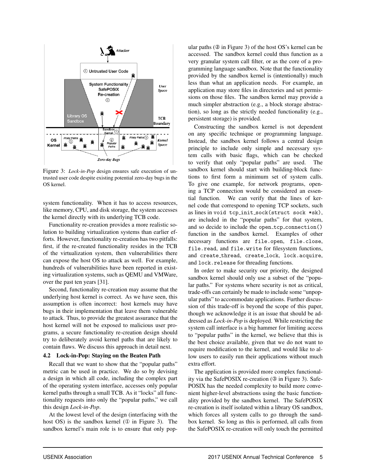

Figure 3: *Lock-in-Pop* design ensures safe execution of untrusted user code despite existing potential zero-day bugs in the OS kernel.

system functionality. When it has to access resources, like memory, CPU, and disk storage, the system accesses the kernel directly with its underlying TCB code.

Functionality re-creation provides a more realistic solution to building virtualization systems than earlier efforts. However, functionality re-creation has two pitfalls: first, if the re-created functionality resides in the TCB of the virtualization system, then vulnerabilities there can expose the host OS to attack as well. For example, hundreds of vulnerabilities have been reported in existing virtualization systems, such as QEMU and VMWare, over the past ten years [31].

Second, functionality re-creation may assume that the underlying host kernel is correct. As we have seen, this assumption is often incorrect: host kernels may have bugs in their implementation that leave them vulnerable to attack. Thus, to provide the greatest assurance that the host kernel will not be exposed to malicious user programs, a secure functionality re-creation design should try to deliberately avoid kernel paths that are likely to contain flaws. We discuss this approach in detail next.

#### 4.2 Lock-in-Pop: Staying on the Beaten Path

Recall that we want to show that the "popular paths" metric can be used in practice. We do so by devising a design in which all code, including the complex part of the operating system interface, accesses only popular kernel paths through a small TCB. As it "locks" all functionality requests into only the "popular paths," we call this design *Lock-in-Pop*.

At the lowest level of the design (interfacing with the host OS) is the sandbox kernel ( $\overline{0}$  in Figure 3). The sandbox kernel's main role is to ensure that only popular paths (② in Figure 3) of the host OS's kernel can be accessed. The sandbox kernel could thus function as a very granular system call filter, or as the core of a programming language sandbox. Note that the functionality provided by the sandbox kernel is (intentionally) much less than what an application needs. For example, an application may store files in directories and set permissions on those files. The sandbox kernel may provide a much simpler abstraction (e.g., a block storage abstraction), so long as the strictly needed functionality (e.g., persistent storage) is provided.

Constructing the sandbox kernel is not dependent on any specific technique or programming language. Instead, the sandbox kernel follows a central design principle to include only simple and necessary system calls with basic flags, which can be checked to verify that only "popular paths" are used. The sandbox kernel should start with building-block functions to first form a minimum set of system calls. To give one example, for network programs, opening a TCP connection would be considered an essential function. We can verify that the lines of kernel code that correspond to opening TCP sockets, such as lines in void tcp init sock(struct sock \*sk), are included in the "popular paths" for that system, and so decide to include the open\_tcp\_connection() function in the sandbox kernel. Examples of other necessary functions are file.open, file.close, file.read, and file.write for filesystem functions, and create thread, create lock, lock.acquire, and lock.release for threading functions.

In order to make security our priority, the designed sandbox kernel should only use a subset of the "popular paths." For systems where security is not as critical, trade-offs can certainly be made to include some "unpopular paths" to accommodate applications. Further discussion of this trade-off is beyond the scope of this paper, though we acknowledge it is an issue that should be addressed as *Lock-in-Pop* is deployed. While restricting the system call interface is a big hammer for limiting access to "popular paths" in the kernel, we believe that this is the best choice available, given that we do not want to require modification to the kernel, and would like to allow users to easily run their applications without much extra effort.

The application is provided more complex functionality via the SafePOSIX re-creation (③ in Figure 3). Safe-POSIX has the needed complexity to build more convenient higher-level abstractions using the basic functionality provided by the sandbox kernel. The SafePOSIX re-creation is itself isolated within a library OS sandbox, which forces all system calls to go through the sandbox kernel. So long as this is performed, all calls from the SafePOSIX re-creation will only touch the permitted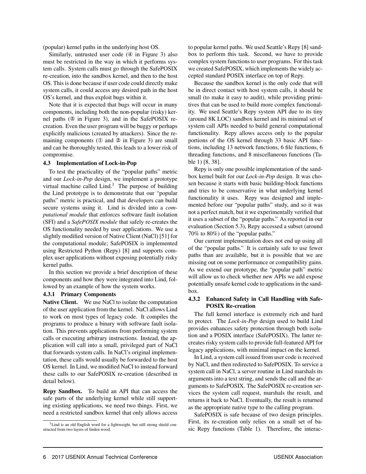(popular) kernel paths in the underlying host OS.

Similarly, untrusted user code (④ in Figure 3) also must be restricted in the way in which it performs system calls. System calls must go through the SafePOSIX re-creation, into the sandbox kernel, and then to the host OS. This is done because if user code could directly make system calls, it could access any desired path in the host OS's kernel, and thus exploit bugs within it.

Note that it is expected that bugs will occur in many components, including both the non-popular (risky) kernel paths (⑤ in Figure 3), and in the SafePOSIX recreation. Even the user program will be buggy or perhaps explicitly malicious (created by attackers). Since the remaining components (① and ② in Figure 3) are small and can be thoroughly tested, this leads to a lower risk of compromise.

#### 4.3 Implementation of Lock-in-Pop

To test the practicality of the "popular paths" metric and our *Lock-in-Pop* design, we implement a prototype virtual machine called  $Lind.$ <sup>1</sup> The purpose of building the Lind prototype is to demonstrate that our "popular paths" metric is practical, and that developers can build secure systems using it. Lind is divided into a *computational module* that enforces software fault isolation (SFI) and a *SafePOSIX module* that safely re-creates the OS functionality needed by user applications. We use a slightly modified version of Native Client (NaCl) [51] for the computational module; SafePOSIX is implemented using Restricted Python (Repy) [8] and supports complex user applications without exposing potentially risky kernel paths.

In this section we provide a brief description of these components and how they were integrated into Lind, followed by an example of how the system works.

#### 4.3.1 Primary Components

Native Client. We use NaCl to isolate the computation of the user application from the kernel. NaCl allows Lind to work on most types of legacy code. It compiles the programs to produce a binary with software fault isolation. This prevents applications from performing system calls or executing arbitrary instructions. Instead, the application will call into a small, privileged part of NaCl that forwards system calls. In NaCl's original implementation, these calls would usually be forwarded to the host OS kernel. In Lind, we modified NaCl to instead forward these calls to our SafePOSIX re-creation (described in detail below).

Repy Sandbox. To build an API that can access the safe parts of the underlying kernel while still supporting existing applications, we need two things. First, we need a restricted sandbox kernel that only allows access to popular kernel paths. We used Seattle's Repy [8] sandbox to perform this task. Second, we have to provide complex system functions to user programs. For this task we created SafePOSIX, which implements the widely accepted standard POSIX interface on top of Repy.

Because the sandbox kernel is the only code that will be in direct contact with host system calls, it should be small (to make it easy to audit), while providing primitives that can be used to build more complex functionality. We used Seattle's Repy system API due to its tiny (around 8K LOC) sandbox kernel and its minimal set of system call APIs needed to build general computational functionality. Repy allows access only to the popular portions of the OS kernel through 33 basic API functions, including 13 network functions, 6 file functions, 6 threading functions, and 8 miscellaneous functions (Table 1) [8, 38].

Repy is only one possible implementation of the sandbox kernel built for our *Lock-in-Pop* design. It was chosen because it starts with basic building-block functions and tries to be conservative in what underlying kernel functionality it uses. Repy was designed and implemented before our "popular paths" study, and so it was not a perfect match, but it we experimentally verified that it uses a subset of the "popular paths." As reported in our evaluation (Section 5.3), Repy accessed a subset (around 70% to 80%) of the "popular paths."

Our current implementation does not end up using all of the "popular paths." It is certainly safe to use fewer paths than are available, but it is possible that we are missing out on some performance or compatibility gains. As we extend our prototype, the "popular path" metric will allow us to check whether new APIs we add expose potentially unsafe kernel code to applications in the sandbox.

#### 4.3.2 Enhanced Safety in Call Handling with Safe-POSIX Re-creation

The full kernel interface is extremely rich and hard to protect. The *Lock-in-Pop* design used to build Lind provides enhances safety protection through both isolation and a POSIX interface (SafePOSIX). The latter recreates risky system calls to provide full-featured API for legacy applications, with minimal impact on the kernel.

In Lind, a system call issued from user code is received by NaCl, and then redirected to SafePOSIX. To service a system call in NaCl, a server routine in Lind marshals its arguments into a text string, and sends the call and the arguments to SafePOSIX. The SafePOSIX re-creation services the system call request, marshals the result, and returns it back to NaCl. Eventually, the result is returned as the appropriate native type to the calling program.

SafePOSIX is safe because of two design principles. First, its re-creation only relies on a small set of basic Repy functions (Table 1). Therefore, the interac-

<sup>&</sup>lt;sup>1</sup>Lind is an old English word for a lightweight, but still strong shield constructed from two layers of linden wood.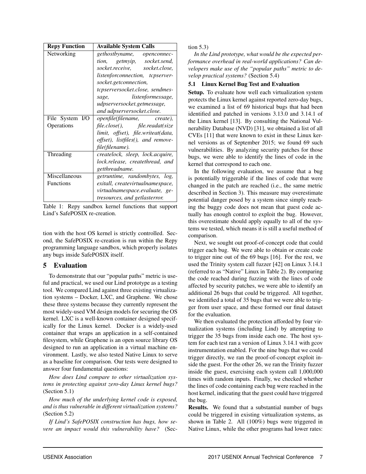| <b>Repy Function</b> | <b>Available System Calls</b>                              |
|----------------------|------------------------------------------------------------|
| Networking           | gethostbyname, openconnec-                                 |
|                      | tion, getmyip, socket.send,                                |
|                      | socket.receive, socket.close,                              |
|                      | listenforconnection, tcpserver-                            |
|                      | socket.getconnection,                                      |
|                      | tcpserversocket.close, sendmes-                            |
|                      | sage, listenformessage,                                    |
|                      | udpserversocket.getmessage,                                |
|                      | and udpserversocket.close.                                 |
| File System I/O      | <i>openfile</i> ( <i>filename</i> , <i>create</i> ),       |
| Operations           | file.close(), file.readat(size                             |
|                      | limit, offset), file.writeat(data,                         |
|                      | <i>offset</i> ), <i>listfiles</i> ( <i>)</i> , and remove- |
|                      | file(filename).                                            |
| Threading            | createlock, sleep, lock.acquire,                           |
|                      | lock.release, createthread, and                            |
|                      | getthreadname.                                             |
| Miscellaneous        | getruntime, randombytes,<br>log,                           |
| <b>Functions</b>     | exitall, createvirtualnamespace,                           |
|                      | virtualnamespace.evaluate, ge-                             |
|                      | <i>tresources, and getlasterror.</i>                       |

Table 1: Repy sandbox kernel functions that support Lind's SafePOSIX re-creation.

tion with the host OS kernel is strictly controlled. Second, the SafePOSIX re-creation is run within the Repy programming language sandbox, which properly isolates any bugs inside SafePOSIX itself.

### 5 Evaluation

To demonstrate that our "popular paths" metric is useful and practical, we used our Lind prototype as a testing tool. We compared Lind against three existing virtualization systems – Docker, LXC, and Graphene. We chose these three systems because they currently represent the most widely-used VM design models for securing the OS kernel. LXC is a well-known container designed specifically for the Linux kernel. Docker is a widely-used container that wraps an application in a self-contained filesystem, while Graphene is an open source library OS designed to run an application in a virtual machine environment. Lastly, we also tested Native Linux to serve as a baseline for comparison. Our tests were designed to answer four fundamental questions:

*How does Lind compare to other virtualization systems in protecting against zero-day Linux kernel bugs?* (Section 5.1)

*How much of the underlying kernel code is exposed, and is thus vulnerable in different virtualization systems?* (Section 5.2)

*If Lind's SafePOSIX construction has bugs, how severe an impact would this vulnerability have?* (Section 5.3)

*In the Lind prototype, what would be the expected performance overhead in real-world applications? Can developers make use of the "popular paths" metric to develop practical systems?* (Section 5.4)

#### 5.1 Linux Kernel Bug Test and Evaluation

Setup. To evaluate how well each virtualization system protects the Linux kernel against reported zero-day bugs, we examined a list of 69 historical bugs that had been identified and patched in versions 3.13.0 and 3.14.1 of the Linux kernel [13]. By consulting the National Vulnerability Database (NVD) [31], we obtained a list of all CVEs [11] that were known to exist in these Linux kernel versions as of September 2015; we found 69 such vulnerabilities. By analyzing security patches for those bugs, we were able to identify the lines of code in the kernel that correspond to each one.

In the following evaluation, we assume that a bug is potentially triggerable if the lines of code that were changed in the patch are reached (i.e., the same metric described in Section 3). This measure may overestimate potential danger posed by a system since simply reaching the buggy code does not mean that guest code actually has enough control to exploit the bug. However, this overestimate should apply equally to all of the systems we tested, which means it is still a useful method of comparison.

Next, we sought out proof-of-concept code that could trigger each bug. We were able to obtain or create code to trigger nine out of the 69 bugs [16]. For the rest, we used the Trinity system call fuzzer [42] on Linux 3.14.1 (referred to as "Native" Linux in Table 2). By comparing the code reached during fuzzing with the lines of code affected by security patches, we were able to identify an additional 26 bugs that could be triggered. All together, we identified a total of 35 bugs that we were able to trigger from user space, and these formed our final dataset for the evaluation.

We then evaluated the protection afforded by four virtualization systems (including Lind) by attempting to trigger the 35 bugs from inside each one. The host system for each test ran a version of Linux 3.14.1 with gcov instrumentation enabled. For the nine bugs that we could trigger directly, we ran the proof-of-concept exploit inside the guest. For the other 26, we ran the Trinity fuzzer inside the guest, exercising each system call 1,000,000 times with random inputs. Finally, we checked whether the lines of code containing each bug were reached in the host kernel, indicating that the guest could have triggered the bug.

Results. We found that a substantial number of bugs could be triggered in existing virtualization systems, as shown in Table 2. All (100%) bugs were triggered in Native Linux, while the other programs had lower rates: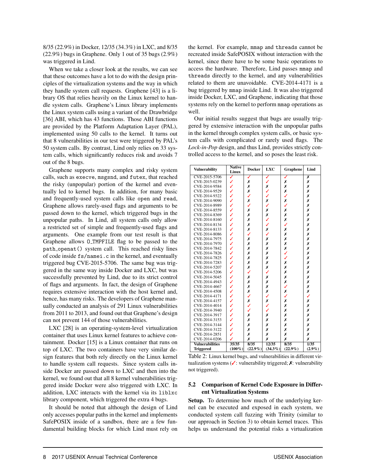8/35 (22.9%) in Docker, 12/35 (34.3%) in LXC, and 8/35 (22.9%) bugs in Graphene. Only 1 out of 35 bugs (2.9%) was triggered in Lind.

When we take a closer look at the results, we can see that these outcomes have a lot to do with the design principles of the virtualization systems and the way in which they handle system call requests. Graphene [43] is a library OS that relies heavily on the Linux kernel to handle system calls. Graphene's Linux library implements the Linux system calls using a variant of the Drawbridge [36] ABI, which has 43 functions. Those ABI functions are provided by the Platform Adaptation Layer (PAL), implemented using 50 calls to the kernel. It turns out that 8 vulnerabilities in our test were triggered by PAL's 50 system calls. By contrast, Lind only relies on 33 system calls, which significantly reduces risk and avoids 7 out of the 8 bugs.

Graphene supports many complex and risky system calls, such as execve, msgsnd, and futex, that reached the risky (unpopular) portion of the kernel and eventually led to kernel bugs. In addition, for many basic and frequently-used system calls like open and read, Graphene allows rarely-used flags and arguments to be passed down to the kernel, which triggered bugs in the unpopular paths. In Lind, all system calls only allow a restricted set of simple and frequently-used flags and arguments. One example from our test result is that Graphene allows  $0$ -TMPFILE flag to be passed to the path openat() system call. This reached risky lines of code inside fs/namei.c in the kernel, and eventually triggered bug CVE-2015-5706. The same bug was triggered in the same way inside Docker and LXC, but was successfully prevented by Lind, due to its strict control of flags and arguments. In fact, the design of Graphene requires extensive interaction with the host kernel and, hence, has many risks. The developers of Graphene manually conducted an analysis of 291 Linux vulnerabilities from 2011 to 2013, and found out that Graphene's design can not prevent 144 of those vulnerabilities.

LXC [28] is an operating-system-level virtualization container that uses Linux kernel features to achieve containment. Docker [15] is a Linux container that runs on top of LXC. The two containers have very similar design features that both rely directly on the Linux kernel to handle system call requests. Since system calls inside Docker are passed down to LXC and then into the kernel, we found out that all 8 kernel vulnerabilities triggered inside Docker were also triggered with LXC. In addition, LXC interacts with the kernel via its liblxc library component, which triggered the extra 4 bugs.

It should be noted that although the design of Lind only accesses popular paths in the kernel and implements SafePOSIX inside of a sandbox, there are a few fundamental building blocks for which Lind must rely on the kernel. For example, mmap and threads cannot be recreated inside SafePOSIX without interaction with the kernel, since there have to be some basic operations to access the hardware. Therefore, Lind passes mmap and threads directly to the kernel, and any vulnerabilities related to them are unavoidable. CVE-2014-4171 is a bug triggered by mmap inside Lind. It was also triggered inside Docker, LXC, and Graphene, indicating that those systems rely on the kernel to perform mmap operations as well.

Our initial results suggest that bugs are usually triggered by extensive interaction with the unpopular paths in the kernel through complex system calls, or basic system calls with complicated or rarely used flags. The *Lock-in-Pop* design, and thus Lind, provides strictly controlled access to the kernel, and so poses the least risk.

| <b>Native</b><br><b>Vulnerability</b><br>Linux |           | <b>Docker</b> | <b>LXC</b> | Graphene   | Lind      |  |
|------------------------------------------------|-----------|---------------|------------|------------|-----------|--|
| CVE-2015-5706                                  | ✓         | ✓             | ✓          | ✓          | Х         |  |
| CVE-2015-0239                                  | ✓         | Х             | V          | Х          | X         |  |
| CVE-2014-9584                                  | ✓         | X             | Х          | Х          | Х         |  |
| CVE-2014-9529                                  | ✓         | X             | ✓          | Х          | Х         |  |
| CVE-2014-9322                                  | ✓         | ✓             | ✓          | ✓          | Х         |  |
| CVE-2014-9090                                  | ✓         | Х             | Х          | Х          | Х         |  |
| CVE-2014-8989                                  | ✓         | ✓             | ✓          | ✓          | Х         |  |
| CVE-2014-8559                                  | ✓         | Х             | Х          | Х          | Х         |  |
| CVE-2014-8369                                  | ✓         | Х             | Х          | Х          | Х         |  |
| CVE-2014-8160                                  | ✓         | Х             | ✓          | Х          | Х         |  |
| CVE-2014-8134                                  | ✓         | Х             | ✓          | ✓          | X         |  |
| CVE-2014-8133                                  | ✓         | X             | Х          | Х          | X         |  |
| CVE-2014-8086                                  | ✓         | ✓             | J          | Х          | Х         |  |
| CVE-2014-7975                                  | V         | Х             | Х          | Х          | X         |  |
| CVE-2014-7970                                  | ✓         | Х             | Х          | Х          | Х         |  |
| CVE-2014-7842                                  | ✓         | Х             | Х          | Х          | Х         |  |
| CVE-2014-7826                                  | ✓         | X             | Х          | ✓          | X         |  |
| CVE-2014-7825                                  | ✓         | Х             | Х          | ✓          | Х         |  |
| CVE-2014-7283                                  | ✓         | Х             | Х          | Х          | Х         |  |
| CVE-2014-5207                                  | ✓         | X             | Х          | Х          | X         |  |
| CVE-2014-5206                                  | ✓         | ✓             | ✓          | Х          | Х         |  |
| CVE-2014-5045                                  | ✓         | Х             | Х          | Х          | Х         |  |
| CVE-2014-4943                                  | ✓         | Х             | Х          | Х          | Х         |  |
| CVE-2014-4667                                  | V         | X             | Х          | ✓          | X         |  |
| CVE-2014-4508                                  | ✓         | X             | Х          | Х          | X         |  |
| CVE-2014-4171                                  | ✓         | ✓             | ✓          | ✓          | ✓         |  |
| CVE-2014-4157                                  | ✓         | Х             | Х          | Х          | Х         |  |
| CVE-2014-4014                                  | ✓         | ✓             | ✓          | Х          | Х         |  |
| CVE-2014-3940                                  | ✓         | ✓             | ✓          | Х          | Х         |  |
| CVE-2014-3917                                  | ✓         | Х             | Х          | Х          | Х         |  |
| CVE-2014-3153                                  | ✓         | Х             | Х          | Х          | Х         |  |
| CVE-2014-3144                                  | ✓         | Х             | Х          | Х          | Х         |  |
| CVE-2014-3122                                  | J         | Х             | Х          | Х          | X         |  |
| CVE-2014-2851                                  | ✓         | X             | x          | Х          | X         |  |
| CVE-2014-0206                                  | ✓         | X             | x          | Х          | Х         |  |
| <b>Vulnerabilities</b>                         | 35/35     | 8/35          | 12/35      | 8/35       | 1/35      |  |
| <b>Triggered</b>                               | $(100\%)$ | $(22.9\%)$    | $(34.3\%)$ | $(22.9\%)$ | $(2.9\%)$ |  |

Table 2: Linux kernel bugs, and vulnerabilities in different virtualization systems ( $\checkmark$ : vulnerability triggered;  $\checkmark$ : vulnerability not triggered).

#### 5.2 Comparison of Kernel Code Exposure in Different Virtualization Systems

Setup. To determine how much of the underlying kernel can be executed and exposed in each system, we conducted system call fuzzing with Trinity (similar to our approach in Section 3) to obtain kernel traces. This helps us understand the potential risks a virtualization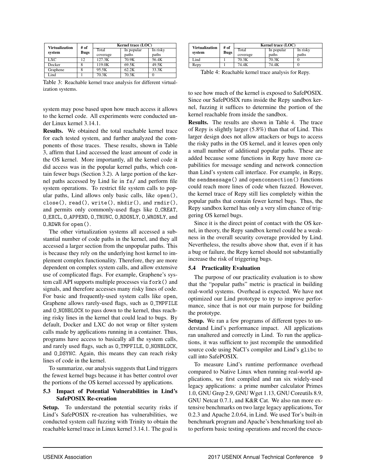| <b>Virtualization</b> | # of        | Kernel trace (LOC) |            |          |
|-----------------------|-------------|--------------------|------------|----------|
|                       | <b>Bugs</b> | Total              | In popular | In risky |
| system                |             | coverage           | paths      | paths    |
| LXC.                  | 12          | 127.3K             | 70.9K      | 56.4K    |
| Docker                |             | 119.0K             | 69.5K      | 49.5K    |
| Graphene              |             | 95.5K              | 62.2K      | 33.3K    |
| Lind                  |             | 70.3K              | 70.3K      |          |

Table 3: Reachable kernel trace analysis for different virtualization systems.

system may pose based upon how much access it allows to the kernel code. All experiments were conducted under Linux kernel 3.14.1.

Results. We obtained the total reachable kernel trace for each tested system, and further analyzed the components of those traces. These results, shown in Table 3, affirm that Lind accessed the least amount of code in the OS kernel. More importantly, all the kernel code it did access was in the popular kernel paths, which contain fewer bugs (Section 3.2). A large portion of the kernel paths accessed by Lind lie in fs/ and perform file system operations. To restrict file system calls to popular paths, Lind allows only basic calls, like open(), close(), read(), write(), mkdir(), and rmdir(), and permits only commonly-used flags like O CREAT, O EXCL, O APPEND, O TRUNC, O RDONLY, O WRONLY, and O RDWR for open().

The other virtualization systems all accessed a substantial number of code paths in the kernel, and they all accessed a larger section from the unpopular paths. This is because they rely on the underlying host kernel to implement complex functionality. Therefore, they are more dependent on complex system calls, and allow extensive use of complicated flags. For example, Graphene's system call API supports multiple processes via fork() and signals, and therefore accesses many risky lines of code. For basic and frequently-used system calls like open, Graphene allows rarely-used flags, such as O TMPFILE and 0\_NONBLOCK to pass down to the kernel, thus reaching risky lines in the kernel that could lead to bugs. By default, Docker and LXC do not wrap or filter system calls made by applications running in a container. Thus, programs have access to basically all the system calls, and rarely used flags, such as 0\_TMPFILE, 0\_NONBLOCK, and O\_DSYNC. Again, this means they can reach risky lines of code in the kernel.

To summarize, our analysis suggests that Lind triggers the fewest kernel bugs because it has better control over the portions of the OS kernel accessed by applications.

#### 5.3 Impact of Potential Vulnerabilities in Lind's SafePOSIX Re-creation

Setup. To understand the potential security risks if Lind's SafePOSIX re-creation has vulnerabilities, we conducted system call fuzzing with Trinity to obtain the reachable kernel trace in Linux kernel 3.14.1. The goal is

| <b>Virtualization</b> | # of | Kernel trace (LOC) |            |          |
|-----------------------|------|--------------------|------------|----------|
| system                | Bugs | Total              | In popular | In risky |
|                       |      | coverage           | paths      | paths    |
| Lind                  |      | 70.3K              | 70.3K      |          |
| Repy                  |      | 74.4K              | 74.4K      |          |

Table 4: Reachable kernel trace analysis for Repy.

to see how much of the kernel is exposed to SafePOSIX. Since our SafePOSIX runs inside the Repy sandbox kernel, fuzzing it suffices to determine the portion of the kernel reachable from inside the sandbox.

Results. The results are shown in Table 4. The trace of Repy is slightly larger (5.8%) than that of Lind. This larger design does not allow attackers or bugs to access the risky paths in the OS kernel, and it leaves open only a small number of additional popular paths. These are added because some functions in Repy have more capabilities for message sending and network connection than Lind's system call interface. For example, in Repy, the sendmessage() and openconnection() functions could reach more lines of code when fuzzed. However, the kernel trace of Repy still lies completely within the popular paths that contain fewer kernel bugs. Thus, the Repy sandbox kernel has only a very slim chance of triggering OS kernel bugs.

Since it is the direct point of contact with the OS kernel, in theory, the Repy sandbox kernel could be a weakness in the overall security coverage provided by Lind. Nevertheless, the results above show that, even if it has a bug or failure, the Repy kernel should not substantially increase the risk of triggering bugs.

#### 5.4 Practicality Evaluation

The purpose of our practicality evaluation is to show that the "popular paths" metric is practical in building real-world systems. Overhead is expected. We have not optimized our Lind prototype to try to improve performance, since that is not our main purpose for building the prototype.

Setup. We ran a few programs of different types to understand Lind's performance impact. All applications ran unaltered and correctly in Lind. To run the applications, it was sufficient to just recompile the unmodified source code using NaCl's compiler and Lind's glibc to call into SafePOSIX.

To measure Lind's runtime performance overhead compared to Native Linux when running real-world applications, we first compiled and ran six widely-used legacy applications: a prime number calculator Primes 1.0, GNU Grep 2.9, GNU Wget 1.13, GNU Coreutils 8.9, GNU Netcat 0.7.1, and K&R Cat. We also ran more extensive benchmarks on two large legacy applications, Tor 0.2.3 and Apache 2.0.64, in Lind. We used Tor's built-in benchmark program and Apache's benchmarking tool ab to perform basic testing operations and record the execu-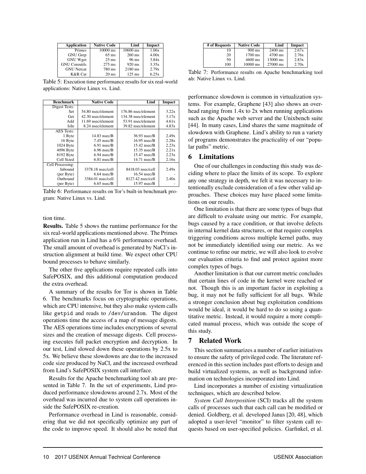| <b>Application</b>   | <b>Native Code</b> | Lind             | Impact |
|----------------------|--------------------|------------------|--------|
| Primes               | $10000$ ms         | $10600$ ms       | 1.06x  |
| <b>GNU</b> Grep      | $65$ ms            | $260 \text{ ms}$ | 4.00x  |
| <b>GNU Wget</b>      | $25$ ms            | 96 ms            | 3.84x  |
| <b>GNU</b> Coreutils | $275$ ms           | 920 ms           | 3.35x  |
| <b>GNU</b> Netcat    | 780 ms             | 2180 ms          | 2.79x  |
| <b>K&amp;R</b> Cat   | $20$ ms            | $125$ ms         | 6.25x  |

Table 5: Execution time performance results for six real-world applications: Native Linux vs. Lind.

| <b>Benchmark</b>  | <b>Native Code</b> | Lind                | Impact |
|-------------------|--------------------|---------------------|--------|
| Digest Tests:     |                    |                     |        |
| Set               | 54.80 nsec/element | 176.86 nsec/element | 3.22x  |
| Get               | 42.30 nsec/element | 134.38 nsec/element | 3.17x  |
| Add               | 11.69 nsec/element | 53.91 nsec/element  | 4.61x  |
| IsIn              | 8.24 nsec/element  | 39.82 nsec/element  | 4.83x  |
| <b>AES</b> Tests: |                    |                     |        |
| 1 Byte            | $14.83$ nsec/B     | 36.93 nsec/B        | 2.49x  |
| 16 Byte           | $7.45$ nsec/ $B$   | $16.95$ nsec/B      | 2.28x  |
| 1024 Byte         | $6.91$ nsec/ $B$   | $15.42$ nsec/B      | 2.23x  |
| 4096 Byte         | $6.96$ nsec/ $B$   | $15.35$ nsec/B      | 2.21x  |
| 8192 Byte         | $6.94$ nsec/ $B$   | $15.47$ nsec/B      | 2.23x  |
| Cell Sized        | $6.81$ nsec/ $B$   | $14.71$ nsec/ $B$   | 2.16x  |
| Cell Processing:  |                    |                     |        |
| Inbound           | 3378.18 nsec/cell  | 8418.03 nsec/cell   | 2.49x  |
| (per Byte)        | $6.64$ nsec/B      | $16.54$ nsec/B      |        |
| Outbound          | 3384.01 nsec/cell  | 8127.42 nsec/cell   | 2.40x  |
| (per Byte)        | $6.65$ nsec/B      | $15.97$ nsec/ $B$   |        |

Table 6: Performance results on Tor's built-in benchmark program: Native Linux vs. Lind.

#### tion time.

Results. Table 5 shows the runtime performance for the six real-world applications mentioned above. The Primes application run in Lind has a 6% performance overhead. The small amount of overhead is generated by NaCl's instruction alignment at build time. We expect other CPU bound processes to behave similarly.

The other five applications require repeated calls into SafePOSIX, and this additional computation produced the extra overhead.

A summary of the results for Tor is shown in Table 6. The benchmarks focus on cryptographic operations, which are CPU intensive, but they also make system calls like getpid and reads to /dev/urandom. The digest operations time the access of a map of message digests. The AES operations time includes encryptions of several sizes and the creation of message digests. Cell processing executes full packet encryption and decryption. In our test, Lind slowed down these operations by 2.5x to 5x. We believe these slowdowns are due to the increased code size produced by NaCl, and the increased overhead from Lind's SafePOSIX system call interface.

Results for the Apache benchmarking tool ab are presented in Table 7. In the set of experiments, Lind produced performance slowdowns around 2.7x. Most of the overhead was incurred due to system call operations inside the SafePOSIX re-creation.

Performance overhead in Lind is reasonable, considering that we did not specifically optimize any part of the code to improve speed. It should also be noted that

| # of Requests | <b>Native Code</b> | Lind     | Impact |
|---------------|--------------------|----------|--------|
| Ю             | $900 \text{ ms}$   | 2400 ms  | 2.67x  |
| 20            | 1700 ms            | 4700 ms  | 2.76x  |
| 50            | $4600$ ms          | 13000 ms | 2.83x  |
| 100           | $10000$ ms         | 27000 ms | 2.70x  |

Table 7: Performance results on Apache benchmarking tool ab: Native Linux vs. Lind.

performance slowdown is common in virtualization systems. For example, Graphene [43] also shows an overhead ranging from 1.4x to 2x when running applications such as the Apache web server and the Unixbench suite [44]. In many cases, Lind shares the same magnitude of slowdown with Graphene. Lind's ability to run a variety of programs demonstrates the practicality of our "popular paths" metric.

#### 6 Limitations

One of our challenges in conducting this study was deciding where to place the limits of its scope. To explore any one strategy in depth, we felt it was necessary to intentionally exclude consideration of a few other valid approaches. These choices may have placed some limitations on our results.

One limitation is that there are some types of bugs that are difficult to evaluate using our metric. For example, bugs caused by a race condition, or that involve defects in internal kernel data structures, or that require complex triggering conditions across multiple kernel paths, may not be immediately identified using our metric. As we continue to refine our metric, we will also look to evolve our evaluation criteria to find and protect against more complex types of bugs.

Another limitation is that our current metric concludes that certain lines of code in the kernel were reached or not. Though this is an important factor in exploiting a bug, it may not be fully sufficient for all bugs. While a stronger conclusion about bug exploitation conditions would be ideal, it would be hard to do so using a quantitative metric. Instead, it would require a more complicated manual process, which was outside the scope of this study.

#### 7 Related Work

This section summarizes a number of earlier initiatives to ensure the safety of privileged code. The literature referenced in this section includes past efforts to design and build virtualized systems, as well as background information on technologies incorporated into Lind.

Lind incorporates a number of existing virtualization techniques, which are described below.

*System Call Interposition* (SCI) tracks all the system calls of processes such that each call can be modified or denied. Goldberg, et al. developed Janus [20, 48], which adopted a user-level "monitor" to filter system call requests based on user-specified policies. Garfinkel, et al.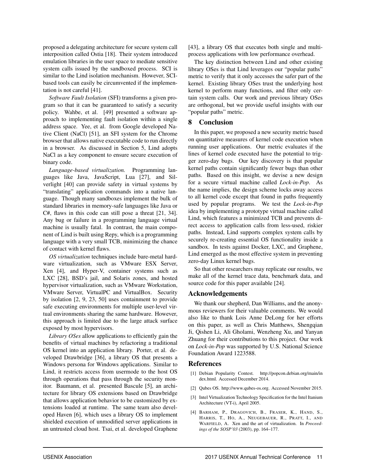proposed a delegating architecture for secure system call interposition called Ostia [18]. Their system introduced emulation libraries in the user space to mediate sensitive system calls issued by the sandboxed process. SCI is similar to the Lind isolation mechanism. However, SCIbased tools can easily be circumvented if the implementation is not careful [41].

*Software Fault Isolation* (SFI) transforms a given program so that it can be guaranteed to satisfy a security policy. Wahbe, et al. [49] presented a software approach to implementing fault isolation within a single address space. Yee, et al. from Google developed Native Client (NaCl) [51], an SFI system for the Chrome browser that allows native executable code to run directly in a browser. As discussed in Section 5, Lind adopts NaCl as a key component to ensure secure execution of binary code.

*Language-based virtualization.* Programming languages like Java, JavaScript, Lua [27], and Silverlight [40] can provide safety in virtual systems by "translating" application commands into a native language. Though many sandboxes implement the bulk of standard libraries in memory-safe languages like Java or C#, flaws in this code can still pose a threat [21, 34]. Any bug or failure in a programming language virtual machine is usually fatal. In contrast, the main component of Lind is built using Repy, which is a programming language with a very small TCB, minimizing the chance of contact with kernel flaws.

*OS virtualization* techniques include bare-metal hardware virtualization, such as VMware ESX Server, Xen [4], and Hyper-V, container systems such as LXC [28], BSD's jail, and Solaris zones, and hosted hypervisor virtualization, such as VMware Workstation, VMware Server, VirtualPC and VirtualBox. Security by isolation [2, 9, 23, 50] uses containment to provide safe executing environments for multiple user-level virtual environments sharing the same hardware. However, this approach is limited due to the large attack surface exposed by most hypervisors.

*Library OSes* allow applications to efficiently gain the benefits of virtual machines by refactoring a traditional OS kernel into an application library. Porter, et al. developed Drawbridge [36], a library OS that presents a Windows persona for Windows applications. Similar to Lind, it restricts access from usermode to the host OS through operations that pass through the security monitor. Baumann, et al. presented Bascule [5], an architecture for library OS extensions based on Drawbridge that allows application behavior to be customized by extensions loaded at runtime. The same team also developed Haven [6], which uses a library OS to implement shielded execution of unmodified server applications in an untrusted cloud host. Tsai, et al. developed Graphene [43], a library OS that executes both single and multiprocess applications with low performance overhead.

The key distinction between Lind and other existing library OSes is that Lind leverages our "popular paths" metric to verify that it only accesses the safer part of the kernel. Existing library OSes trust the underlying host kernel to perform many functions, and filter only certain system calls. Our work and previous library OSes are orthogonal, but we provide useful insights with our "popular paths" metric.

### 8 Conclusion

In this paper, we proposed a new security metric based on quantitative measures of kernel code execution when running user applications. Our metric evaluates if the lines of kernel code executed have the potential to trigger zero-day bugs. Our key discovery is that popular kernel paths contain significantly fewer bugs than other paths. Based on this insight, we devise a new design for a secure virtual machine called *Lock-in-Pop*. As the name implies, the design scheme locks away access to all kernel code except that found in paths frequently used by popular programs. We test the *Lock-in-Pop* idea by implementing a prototype virtual machine called Lind, which features a minimized TCB and prevents direct access to application calls from less-used, riskier paths. Instead, Lind supports complex system calls by securely re-creating essential OS functionality inside a sandbox. In tests against Docker, LXC, and Graphene, Lind emerged as the most effective system in preventing zero-day Linux kernel bugs.

So that other researchers may replicate our results, we make all of the kernel trace data, benchmark data, and source code for this paper available [24].

#### Acknowledgements

We thank our shepherd, Dan Williams, and the anonymous reviewers for their valuable comments. We would also like to thank Lois Anne DeLong for her efforts on this paper, as well as Chris Matthews, Shengqian Ji, Qishen Li, Ali Gholami, Wenzheng Xu, and Yanyan Zhuang for their contributions to this project. Our work on *Lock-in-Pop* was supported by U.S. National Science Foundation Award 1223588.

#### References

- [1] Debian Popularity Contest. http://popcon.debian.org/main/in dex.html. Accessed December 2014.
- [2] Qubes OS. http://www.qubes-os.org. Accessed November 2015.
- [3] Intel Virtualization Technology Specification for the Intel Itanium Architecture (VT-i), April 2005.
- [4] BARHAM, P., DRAGOVICH, B., FRASER, K., HAND, S., HARRIS, T., HO, A., NEUGEBAUER, R., PRATT, I., AND WARFIELD, A. Xen and the art of virtualization. In *Proceedings of the SOSP'03* (2003), pp. 164–177.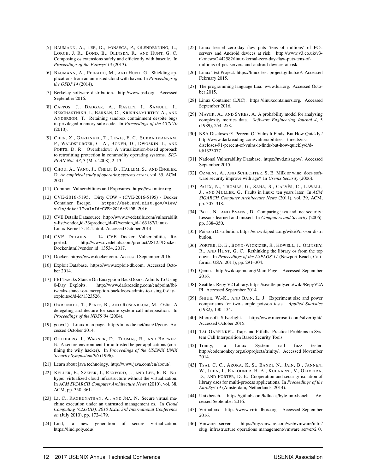- [5] BAUMANN, A., LEE, D., FONSECA, P., GLENDENNING, L., LORCH, J. R., BOND, B., OLINSKY, R., AND HUNT, G. C. Composing os extensions safely and efficiently with bascule. In *Proceedings of the Eurosys'13* (2013).
- [6] BAUMANN, A., PEINADO, M., AND HUNT, G. Shielding applications from an untrusted cloud with haven. In *Proceedings of the OSDI'14* (2014).
- [7] Berkeley software distribution. http://www.bsd.org. Accessed September 2016.
- [8] CAPPOS, J., DADGAR, A., RASLEY, J., SAMUEL, J., BESCHASTNIKH, I., BARSAN, C., KRISHNAMURTHY, A., AND ANDERSON, T. Retaining sandbox containment despite bugs in privileged memory-safe code. In *Proceedings of the CCS'10* (2010).
- [9] CHEN, X., GARFINKEL, T., LEWIS, E. C., SUBRAHMANYAM, P., WALDSPURGER, C. A., BONEH, D., DWOSKIN, J., AND PORTS, D. R. Overshadow: A virtualization-based approach to retrofitting protection in commodity operating systems. *SIG-PLAN Not. 43*, 3 (Mar. 2008), 2–13.
- [10] CHOU, A., YANG, J., CHELF, B., HALLEM, S., AND ENGLER, D. *An empirical study of operating systems errors*, vol. 35. ACM, 2001.
- [11] Common Vulnerabilities and Exposures. https://cve.mitre.org.
- [12] CVE-2016-5195. Dirty COW (CVE-2016-5195) Docker Container Escape. https://web.nvd.nist.gov/view/ vuln/detail?vulnId=CVE-2016-5195, 2016.
- [13] CVE Details Datasource. http://www.cvedetails.com/vulnerabilit y-list/vendor id-33/product id-47/version id-163187/Linux-Linux-Kernel-3.14.1.html. Accessed October 2014.
- [14] CVE DETAILS. 14 CVE Docker Vulnerabilities Reported. http://www.cvedetails.com/product/28125/Docker-Docker.html?vendor id=13534, 2017.
- [15] Docker. https://www.docker.com. Accessed September 2016.
- [16] Exploit Database. https://www.exploit-db.com. Accessed October 2014.
- [17] FBI Tweaks Stance On Encryption BackDoors, Admits To Using 0-Day Exploits. http://www.darkreading.com/endpoint/fbitweaks-stance-on-encryption-backdoors-admits-to-using-0-dayexploits/d/d-id/1323526.
- [18] GARFINKEL, T., PFAFF, B., AND ROSENBLUM, M. Ostia: A delegating architecture for secure system call interposition. In *Proceedings of the NDSS'04* (2004).
- [19] gcov(1) Linux man page. http://linux.die.net/man/1/gcov. Accessed October 2014.
- [20] GOLDBERG, I., WAGNER, D., THOMAS, R., AND BREWER, E. A secure environment for untrusted helper applications (confining the wily hacker). In *Proceedings of the USENIX UNIX Security Symposium'96* (1996).
- [21] Learn about java technology. http://www.java.com/en/about/.
- [22] KELLER, E., SZEFER, J., REXFORD, J., AND LEE, R. B. Nohype: virtualized cloud infrastructure without the virtualization. In *ACM SIGARCH Computer Architecture News* (2010), vol. 38, ACM, pp. 350–361.
- [23] LI, C., RAGHUNATHAN, A., AND JHA, N. Secure virtual machine execution under an untrusted management os. In *Cloud Computing (CLOUD), 2010 IEEE 3rd International Conference on* (July 2010), pp. 172–179.
- [24] Lind, a new generation of secure virtualization. https://lind.poly.edu/.
- [25] Linux kernel zero-day flaw puts 'tens of millions' of PCs, servers and Android devices at risk. http://www.v3.co.uk/v3 uk/news/2442582/linux-kernal-zero-day-flaw-puts-tens-ofmillions-of-pcs-servers-and-android-devices-at-risk.
- [26] Linux Test Project. https://linux-test-project.github.io/. Accessed February 2015.
- [27] The programming language Lua. www.lua.org. Accessed October 2015.
- [28] Linux Container (LXC). https://linuxcontainers.org. Accessed September 2016.
- [29] MAYER, A., AND SYKES, A. A probability model for analysing complexity metrics data. *Software Engineering Journal 4*, 5 (1989), 254–258.
- [30] NSA Discloses 91 Percent Of Vulns It Finds, But How Quickly? http://www.darkreading.com/vulnerabilities—threats/nsadiscloses-91-percent-of-vulns-it-finds-but-how-quickly/d/did/1323077.
- [31] National Vulnerability Database. https://nvd.nist.gov/. Accessed September 2015.
- [32] OZMENT, A., AND SCHECHTER, S. E. Milk or wine: does software security improve with age? In *Usenix Security* (2006).
- [33] PALIX, N., THOMAS, G., SAHA, S., CALVÈS, C., LAWALL, J., AND MULLER, G. Faults in linux: ten years later. In *ACM SIGARCH Computer Architecture News* (2011), vol. 39, ACM, pp. 305–318.
- [34] PAUL, N., AND EVANS., D. Comparing java and .net security: Lessons learned and missed. In *Computers and Security* (2006), pp. 338–350.
- [35] Poisson Distribution. https://en.wikipedia.org/wiki/Poisson distri bution.
- [36] PORTER, D. E., BOYD-WICKIZER, S., HOWELL, J., OLINSKY, R., AND HUNT, G. C. Rethinking the library os from the top down. In *Proceedings of the ASPLOS'11* (Newport Beach, California, USA, 2011), pp. 291–304.
- [37] Qemu. http://wiki.qemu.org/Main Page. Accessed September 2016.
- [38] Seattle's Repy V2 Library. https://seattle.poly.edu/wiki/RepyV2A PI. Accessed September 2014.
- [39] SHIUE, W.-K., AND BAIN, L. J. Experiment size and power comparisons for two-sample poisson tests. *Applied Statistics* (1982), 130–134.
- [40] Microsoft Silverlight. http://www.microsoft.com/silverlight/. Accessed October 2015.
- [41] TAL GARFINKEL. Traps and Pitfalls: Practical Problems in System Call Interposition Based Security Tools.
- [42] Trinity, a Linux System call fuzz tester. http://codemonkey.org.uk/projects/trinity/. Accessed November 2014.
- [43] TSAI, C. C., ARORA, K. S., BANDI, N., JAIN, B., JANNEN, W., JOHN, J., KALODNER, H. A., KULKARNI, V., OLIVEIRA, D., AND PORTER, D. E. Cooperation and security isolation of library oses for multi-process applications. In *Proceedings of the EuroSys'14* (Amsterdam, Netherlands, 2014).
- [44] Unixbench. https://github.com/kdlucas/byte-unixbench. Accessed September 2016.
- [45] Virtualbox. https://www.virtualbox.org. Accessed September 2016.
- [46] Vmware server. https://my.vmware.com/web/vmware/info? slug=infrastructure\_operations\_management/vmware\_server/2\_0.